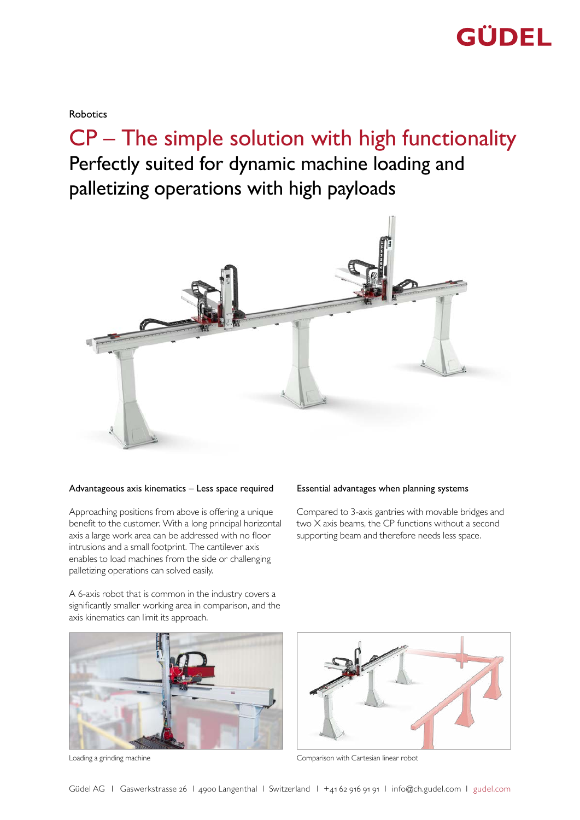

Robotics

CP – The simple solution with high functionality Perfectly suited for dynamic machine loading and

palletizing operations with high payloads



#### Advantageous axis kinematics – Less space required Essential advantages when planning systems

Approaching positions from above is offering a unique benefit to the customer. With a long principal horizontal axis a large work area can be addressed with no floor intrusions and a small footprint. The cantilever axis enables to load machines from the side or challenging palletizing operations can solved easily.

A 6-axis robot that is common in the industry covers a significantly smaller working area in comparison, and the axis kinematics can limit its approach.



Compared to 3-axis gantries with movable bridges and two X axis beams, the CP functions without a second supporting beam and therefore needs less space.



Loading a grinding machine **Comparison with Cartesian linear robot**